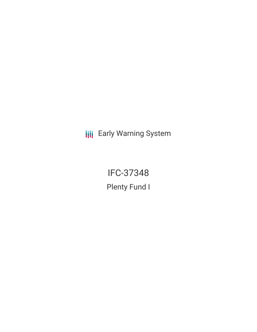**III** Early Warning System

IFC-37348 Plenty Fund I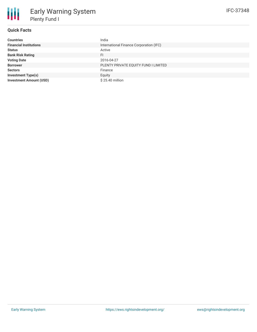## **Quick Facts**

₩

| <b>Countries</b>               | India                                   |
|--------------------------------|-----------------------------------------|
| <b>Financial Institutions</b>  | International Finance Corporation (IFC) |
| <b>Status</b>                  | Active                                  |
| <b>Bank Risk Rating</b>        | FI                                      |
| <b>Voting Date</b>             | 2016-04-27                              |
| <b>Borrower</b>                | PLENTY PRIVATE EQUITY FUND I LIMITED    |
| <b>Sectors</b>                 | Finance                                 |
| <b>Investment Type(s)</b>      | Equity                                  |
| <b>Investment Amount (USD)</b> | \$25.40 million                         |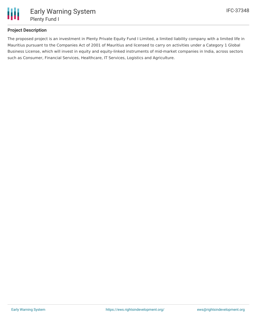

# **Project Description**

The proposed project is an investment in Plenty Private Equity Fund I Limited, a limited liability company with a limited life in Mauritius pursuant to the Companies Act of 2001 of Mauritius and licensed to carry on activities under a Category 1 Global Business License, which will invest in equity and equity-linked instruments of mid-market companies in India, across sectors such as Consumer, Financial Services, Healthcare, IT Services, Logistics and Agriculture.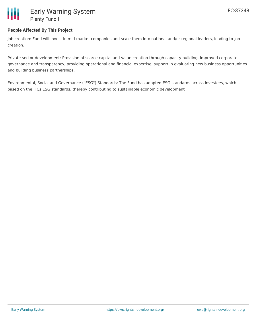

## **People Affected By This Project**

Job creation: Fund will invest in mid-market companies and scale them into national and/or regional leaders, leading to job creation.

Private sector development: Provision of scarce capital and value creation through capacity building, improved corporate governance and transparency, providing operational and financial expertise, support in evaluating new business opportunities and building business partnerships.

Environmental, Social and Governance ("ESG") Standards: The Fund has adopted ESG standards across investees, which is based on the IFCs ESG standards, thereby contributing to sustainable economic development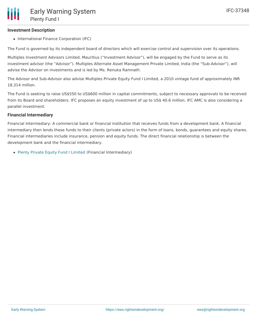### **Investment Description**

• International Finance Corporation (IFC)

The Fund is governed by its independent board of directors which will exercise control and supervision over its operations.

Multiples Investment Advisors Limited, Mauritius ("Investment Advisor"), will be engaged by the Fund to serve as its investment advisor (the "Advisor"). Multiples Alternate Asset Management Private Limited, India (the "Sub-Advisor"), will advise the Advisor on investments and is led by Ms. Renuka Ramnath.

The Advisor and Sub-Advisor also advise Multiples Private Equity Fund I Limited, a 2010 vintage fund of approximately INR 18,314 million.

The Fund is seeking to raise US\$550 to US\$600 million in capital commitments, subject to necessary approvals to be received from its Board and shareholders. IFC proposes an equity investment of up to US\$ 40.6 million. IFC AMC is also considering a parallel investment.

### **Financial Intermediary**

Financial Intermediary: A commercial bank or financial institution that receives funds from a development bank. A financial intermediary then lends these funds to their clients (private actors) in the form of loans, bonds, guarantees and equity shares. Financial intermediaries include insurance, pension and equity funds. The direct financial relationship is between the development bank and the financial intermediary.

Plenty Private Equity Fund I [Limited](file:///actor/1140/) (Financial Intermediary)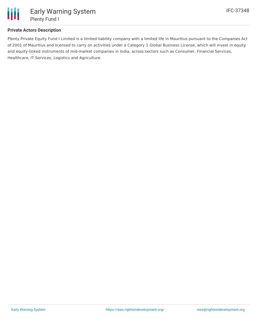

## **Private Actors Description**

Plenty Private Equity Fund I Limited is a limited liability company with a limited life in Mauritius pursuant to the Companies Act of 2001 of Mauritius and licensed to carry on activities under a Category 1 Global Business License, which will invest in equity and equity-linked instruments of mid-market companies in India, across sectors such as Consumer, Financial Services, Healthcare, IT Services, Logistics and Agriculture.